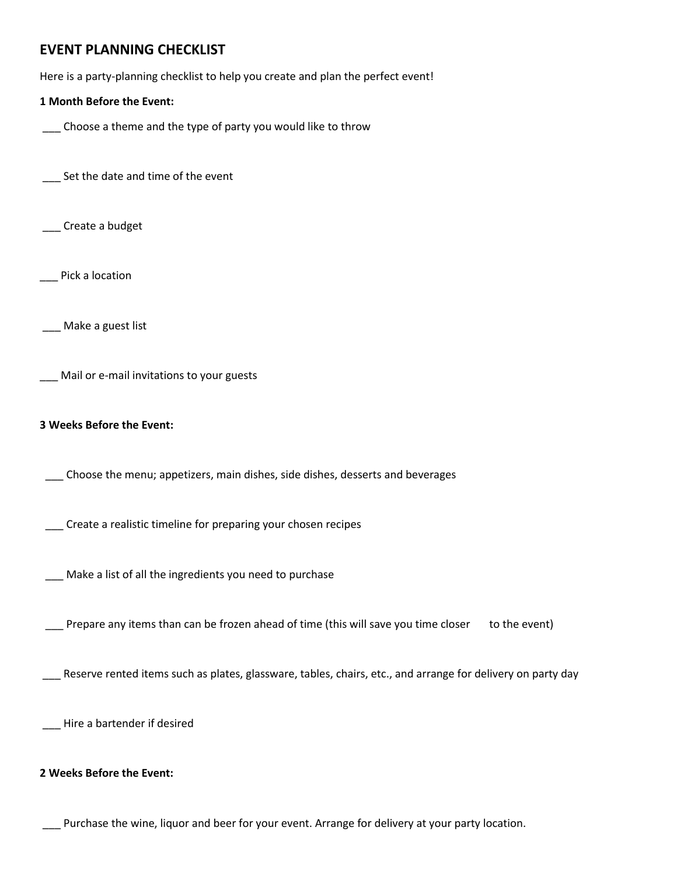# **EVENT PLANNING CHECKLIST**

Here is a party-planning checklist to help you create and plan the perfect event!

### **1 Month Before the Event:**

\_\_\_ Choose a theme and the type of party you would like to throw

\_\_\_ Set the date and time of the event

\_\_\_ Create a budget

Pick a location

\_\_\_ Make a guest list

\_\_\_ Mail or e-mail invitations to your guests

#### **3 Weeks Before the Event:**

\_\_\_ Choose the menu; appetizers, main dishes, side dishes, desserts and beverages

\_\_\_ Create a realistic timeline for preparing your chosen recipes

\_\_\_ Make a list of all the ingredients you need to purchase

\_\_ Prepare any items than can be frozen ahead of time (this will save you time closer to the event)

Reserve rented items such as plates, glassware, tables, chairs, etc., and arrange for delivery on party day

\_\_\_ Hire a bartender if desired

#### **2 Weeks Before the Event:**

\_\_\_ Purchase the wine, liquor and beer for your event. Arrange for delivery at your party location.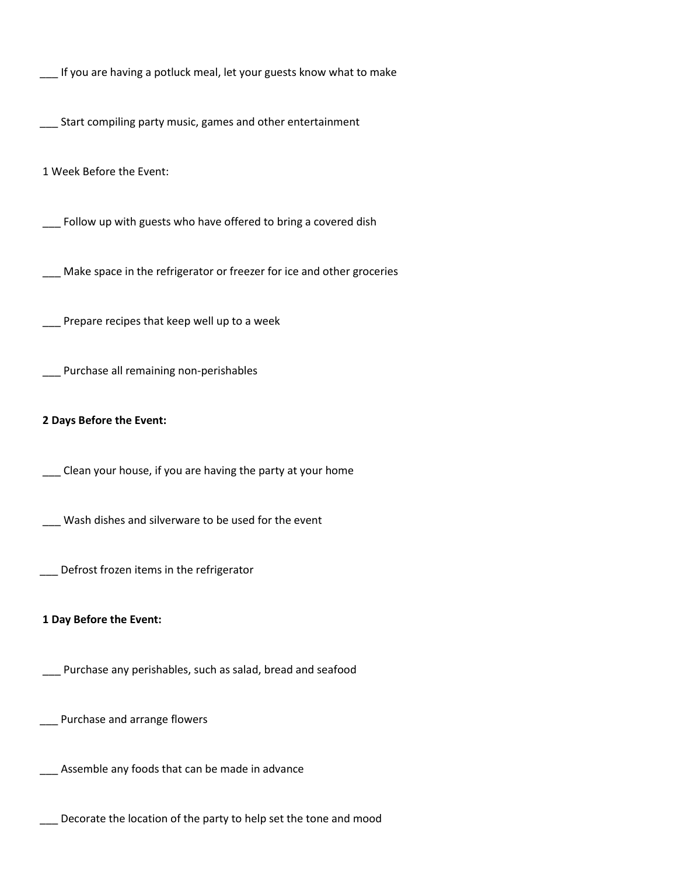\_\_\_ If you are having a potluck meal, let your guests know what to make

\_\_\_ Start compiling party music, games and other entertainment

1 Week Before the Event:

\_\_\_ Follow up with guests who have offered to bring a covered dish

\_\_\_ Make space in the refrigerator or freezer for ice and other groceries

\_\_\_ Prepare recipes that keep well up to a week

\_\_\_ Purchase all remaining non-perishables

#### **2 Days Before the Event:**

\_\_\_ Clean your house, if you are having the party at your home

\_\_\_ Wash dishes and silverware to be used for the event

\_\_\_ Defrost frozen items in the refrigerator

#### **1 Day Before the Event:**

\_\_\_ Purchase any perishables, such as salad, bread and seafood

\_\_\_ Purchase and arrange flowers

\_\_\_ Assemble any foods that can be made in advance

\_\_\_ Decorate the location of the party to help set the tone and mood